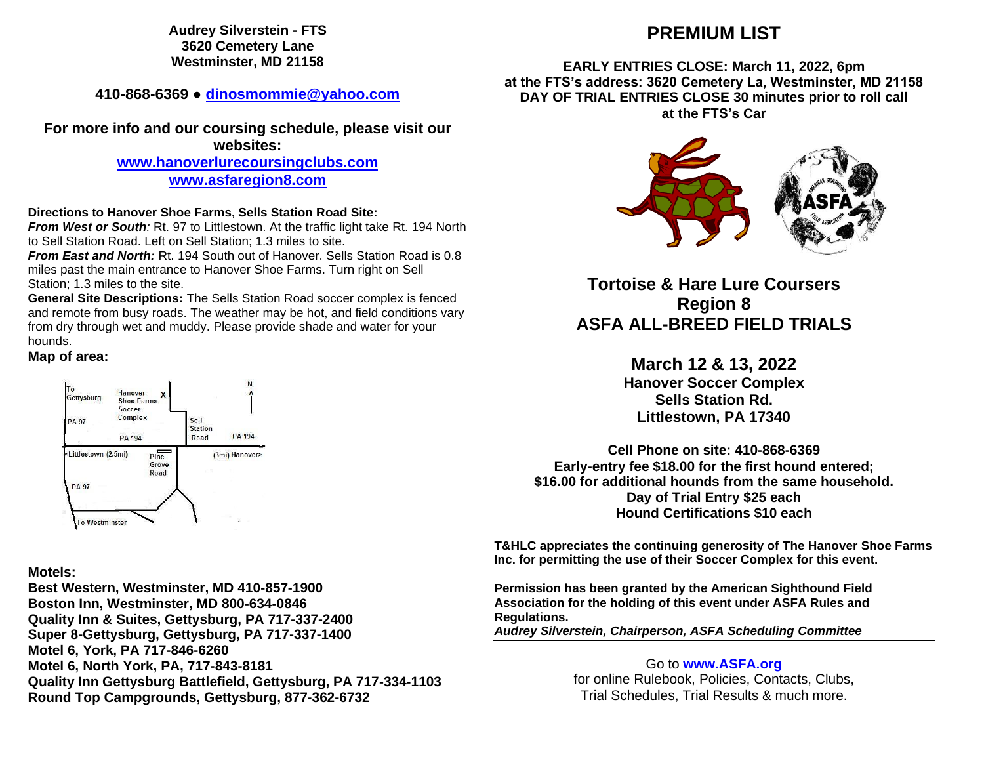**Audrey Silverstein - FTS 3620 Cemetery Lane Westminster, MD 21158**

**410-868-6369 ● [dinosmommie@yahoo.com](mailto:dinosmommie@yahoo.com)**

**For more info and our coursing schedule, please visit our websites: [www.hanoverlurecoursingclubs.com](http://www.hanoverlurecoursingclubs.com/) [www.asfaregion8.com](http://www.asfaregion8.com/)**

**Directions to Hanover Shoe Farms, Sells Station Road Site:** 

*From West or South:* Rt. 97 to Littlestown. At the traffic light take Rt. 194 North to Sell Station Road. Left on Sell Station; 1.3 miles to site.

*From East and North:* Rt. 194 South out of Hanover. Sells Station Road is 0.8 miles past the main entrance to Hanover Shoe Farms. Turn right on Sell Station; 1.3 miles to the site.

**General Site Descriptions:** The Sells Station Road soccer complex is fenced and remote from busy roads. The weather may be hot, and field conditions vary from dry through wet and muddy. Please provide shade and water for your hounds.

## **Map of area:**



## **Motels:**

**Best Western, Westminster, MD 410-857-1900 Boston Inn, Westminster, MD 800-634-0846 Quality Inn & Suites, Gettysburg, PA 717-337-2400 Super 8-Gettysburg, Gettysburg, PA 717-337-1400 Motel 6, York, PA 717-846-6260 Motel 6, North York, PA, 717-843-8181 Quality Inn Gettysburg Battlefield, Gettysburg, PA 717-334-1103 Round Top Campgrounds, Gettysburg, 877-362-6732**

# **PREMIUM LIST**

## **EARLY ENTRIES CLOSE: March 11, 2022, 6pm at the FTS's address: 3620 Cemetery La, Westminster, MD 21158 DAY OF TRIAL ENTRIES CLOSE 30 minutes prior to roll call at the FTS's Car**



**Tortoise & Hare Lure Coursers Region 8 ASFA ALL-BREED FIELD TRIALS**

> **March 12 & 13, 2022 Hanover Soccer Complex Sells Station Rd. Littlestown, PA 17340**

**Cell Phone on site: 410-868-6369 Early-entry fee \$18.00 for the first hound entered; \$16.00 for additional hounds from the same household. Day of Trial Entry \$25 each Hound Certifications \$10 each**

**T&HLC appreciates the continuing generosity of The Hanover Shoe Farms Inc. for permitting the use of their Soccer Complex for this event.**

**Permission has been granted by the American Sighthound Field Association for the holding of this event under ASFA Rules and Regulations.**

*Audrey Silverstein, Chairperson, ASFA Scheduling Committee*

Go to **[www.ASFA.org](http://www.asfa.org/)** for online Rulebook, Policies, Contacts, Clubs, Trial Schedules, Trial Results & much more.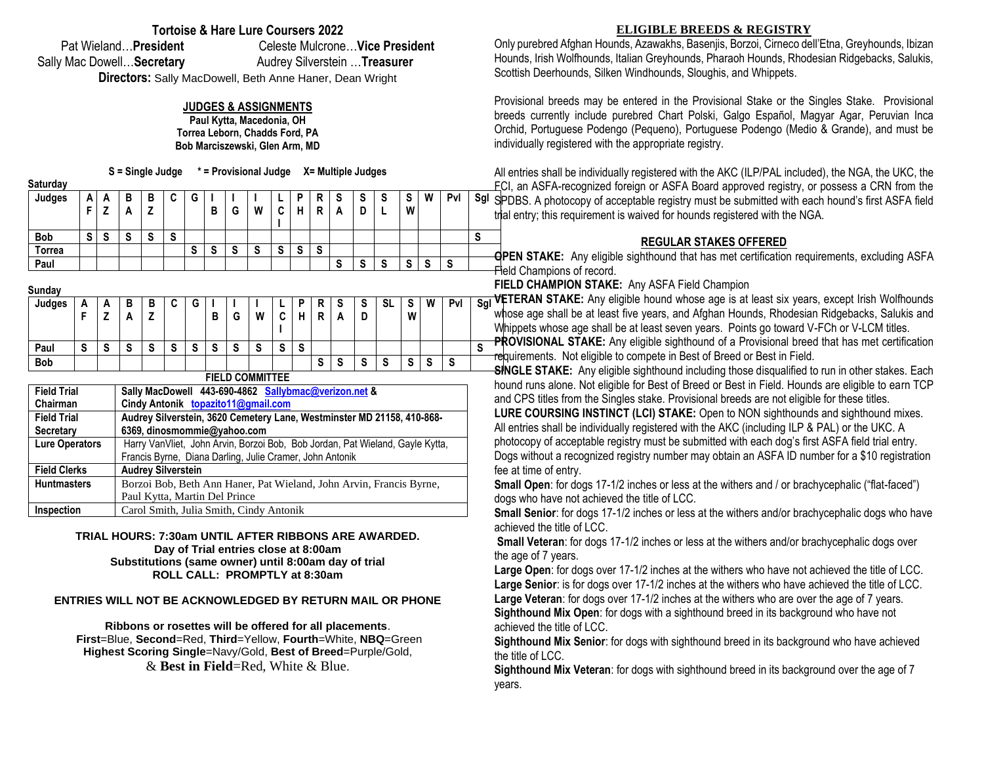## **Tortoise & Hare Lure Coursers 2022**

Pat Wieland…**President** Celeste Mulcrone…**Vice President** Sally Mac Dowell... Secretary **Audrey Silverstein ... Treasurer** 

**Directors:** Sally MacDowell, Beth Anne Haner, Dean Wright

### **JUDGES & ASSIGNMENTS**

**Paul Kytta, Macedonia, OH Torrea Leborn, Chadds Ford, PA Bob Marciszewski, Glen Arm, MD** 

**S = Single Judge \* = Provisional Judge X= Multiple Judges**

| Saturday      |        |   |        |        |        |   |   |   |        |        |        |        |        |        |        |        |        |     |     |
|---------------|--------|---|--------|--------|--------|---|---|---|--------|--------|--------|--------|--------|--------|--------|--------|--------|-----|-----|
| Judges        | A<br>Е | A | в<br>A | в<br>7 | n<br>u | G | В | G | W      | ◠<br>ື | D<br>н | R<br>R | S<br>A | S<br>D | S      | S<br>W | W      | Pvl | Sgl |
| <b>Bob</b>    | S      | S | S      | c<br>o | S      |   |   |   |        |        |        |        |        |        |        |        |        |     | S   |
| Torrea        |        |   |        |        |        | S | S | S | c<br>C | S      | S      | S      |        |        |        |        |        |     |     |
| Paul          |        |   |        |        |        |   |   |   |        |        |        |        | S      | S      | e<br>o | S      | e<br>œ | S   |     |
| $\sim$ $\sim$ |        |   |        |        |        |   |   |   |        |        |        |        |        |        |        |        |        |     |     |

| Sunday     |   |        |          |        |        |        |                         |   |                 |        |   |   |        |   |                           |        |   |                   |        |
|------------|---|--------|----------|--------|--------|--------|-------------------------|---|-----------------|--------|---|---|--------|---|---------------------------|--------|---|-------------------|--------|
| Judges     | А | A      | в        | в      | ◠<br>u | G      |                         |   |                 |        | D | R | S      | S | -SL                       | e<br>v | W | Pvl               | S      |
|            |   |        | <u>r</u> | 7<br>- |        |        | в                       | G | W               | ⌒<br>u | н | R | А      | D |                           | W      |   |                   |        |
|            |   |        |          |        |        |        |                         |   |                 |        |   |   |        |   |                           |        |   |                   |        |
| Paul       | S | -<br>œ | ~<br>o   | S      | S      | ~<br>o | $\mathbf{\hat{c}}$<br>o | S | c<br>ა          | c<br>o | S |   |        |   |                           |        |   |                   | ◠<br>ю |
| <b>Bob</b> |   |        |          |        |        |        |                         |   |                 |        |   | S | е<br>Ð | S | $\ddot{\phantom{0}}$<br>ю | ^<br>œ | S | $\mathbf{c}$<br>১ |        |
|            |   |        |          |        |        |        |                         |   | FIELD COMMITTEE |        |   |   |        |   |                           |        |   |                   |        |

#### **FIELD COMMITTEE**

| <b>Field Trial</b>    | Sally MacDowell 443-690-4862 Sallybmac@verizon.net &                          |
|-----------------------|-------------------------------------------------------------------------------|
| Chairman              | Cindy Antonik topazito11@gmail.com                                            |
| <b>Field Trial</b>    | Audrey Silverstein, 3620 Cemetery Lane, Westminster MD 21158, 410-868-        |
| <b>Secretary</b>      | 6369, dinosmommie@yahoo.com                                                   |
| <b>Lure Operators</b> | Harry VanVliet, John Arvin, Borzoi Bob, Bob Jordan, Pat Wieland, Gayle Kytta, |
|                       | Francis Byrne, Diana Darling, Julie Cramer, John Antonik                      |
| <b>Field Clerks</b>   | <b>Audrey Silverstein</b>                                                     |
| <b>Huntmasters</b>    | Borzoi Bob, Beth Ann Haner, Pat Wieland, John Arvin, Francis Byrne,           |
|                       | Paul Kytta, Martin Del Prince                                                 |
| Inspection            | Carol Smith, Julia Smith, Cindy Antonik                                       |

#### **TRIAL HOURS: 7:30am UNTIL AFTER RIBBONS ARE AWARDED. Day of Trial entries close at 8:00am Substitutions (same owner) until 8:00am day of trial ROLL CALL: PROMPTLY at 8:30am**

**ENTRIES WILL NOT BE ACKNOWLEDGED BY RETURN MAIL OR PHONE**

**Ribbons or rosettes will be offered for all placements**. **First**=Blue, **Second**=Red, **Third**=Yellow, **Fourth**=White, **NBQ**=Green **Highest Scoring Single**=Navy/Gold, **Best of Breed**=Purple/Gold, & **Best in Field**=Red, White & Blue.

### **ELIGIBLE BREEDS & REGISTRY**

Only purebred Afghan Hounds, Azawakhs, Basenjis, Borzoi, Cirneco dell'Etna, Greyhounds, Ibizan Hounds, Irish Wolfhounds, Italian Greyhounds, Pharaoh Hounds, Rhodesian Ridgebacks, Salukis, Scottish Deerhounds, Silken Windhounds, Sloughis, and Whippets.

Provisional breeds may be entered in the Provisional Stake or the Singles Stake. Provisional breeds currently include purebred Chart Polski, Galgo Español, Magyar Agar, Peruvian Inca Orchid, Portuguese Podengo (Pequeno), Portuguese Podengo (Medio & Grande), and must be individually registered with the appropriate registry.

All entries shall be individually registered with the AKC (ILP/PAL included), the NGA, the UKC, the FCI, an ASFA-recognized foreign or ASFA Board approved registry, or possess a CRN from the SPDBS. A photocopy of acceptable registry must be submitted with each hound's first ASFA field trial entry; this requirement is waived for hounds registered with the NGA.

## **REGULAR STAKES OFFERED**

**OPEN STAKE:** Any eligible sighthound that has met certification requirements, excluding ASFA **- Fi**eld Champions of record.

**FIELD CHAMPION STAKE:** Any ASFA Field Champion

W | Pvl | Sgl VETERAN STAKE: Any eligible hound whose age is at least six years, except Irish Wolfhounds whose age shall be at least five years, and Afghan Hounds, Rhodesian Ridgebacks, Salukis and Whippets whose age shall be at least seven years. Points go toward V-FCh or V-LCM titles.

**PROVISIONAL STAKE:** Any eligible sighthound of a Provisional breed that has met certification requirements. Not eligible to compete in Best of Breed or Best in Field.

**SINGLE STAKE:** Any eligible sighthound including those disqualified to run in other stakes. Each hound runs alone. Not eligible for Best of Breed or Best in Field. Hounds are eligible to earn TCP and CPS titles from the Singles stake. Provisional breeds are not eligible for these titles.

**LURE COURSING INSTINCT (LCI) STAKE:** Open to NON sighthounds and sighthound mixes. All entries shall be individually registered with the AKC (including ILP & PAL) or the UKC. A photocopy of acceptable registry must be submitted with each dog's first ASFA field trial entry. Dogs without a recognized registry number may obtain an ASFA ID number for a \$10 registration fee at time of entry.

**Small Open**: for dogs 17-1/2 inches or less at the withers and / or brachycephalic ("flat-faced") dogs who have not achieved the title of LCC.

**Small Senior**: for dogs 17-1/2 inches or less at the withers and/or brachycephalic dogs who have achieved the title of LCC.

**Small Veteran**: for dogs 17-1/2 inches or less at the withers and/or brachycephalic dogs over the age of 7 years.

**Large Open**: for dogs over 17-1/2 inches at the withers who have not achieved the title of LCC. **Large Senior**: is for dogs over 17-1/2 inches at the withers who have achieved the title of LCC. **Large Veteran**: for dogs over 17-1/2 inches at the withers who are over the age of 7 years. **Sighthound Mix Open**: for dogs with a sighthound breed in its background who have not achieved the title of LCC.

**Sighthound Mix Senior**: for dogs with sighthound breed in its background who have achieved the title of LCC.

**Sighthound Mix Veteran**: for dogs with sighthound breed in its background over the age of 7 years.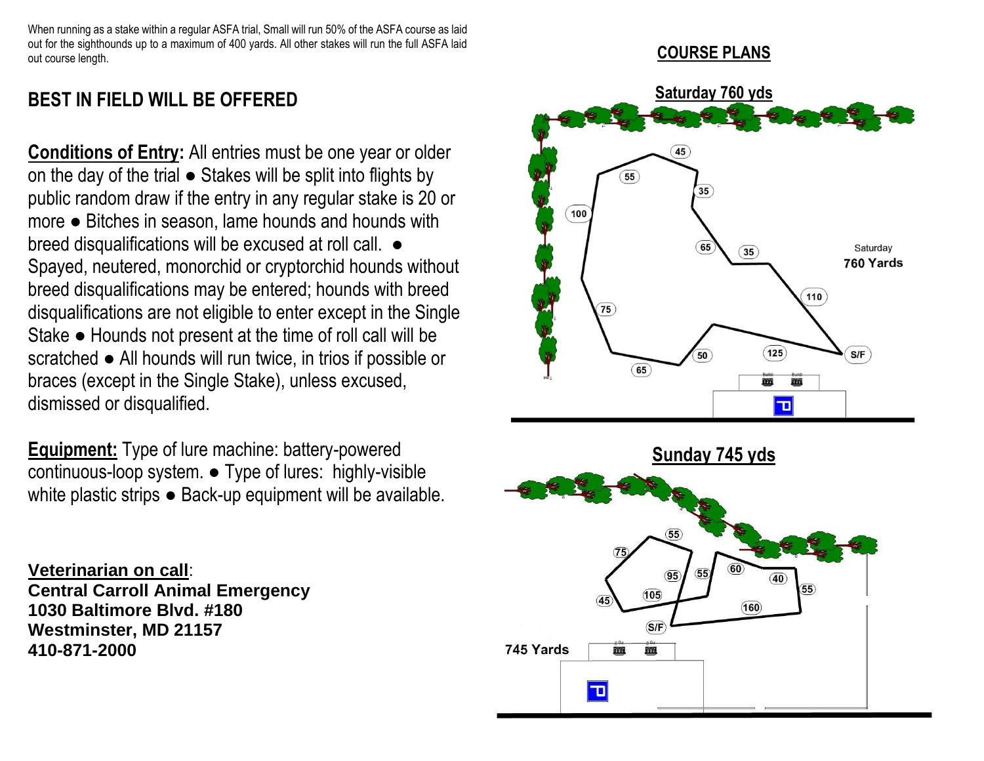When running as a stake within a regular ASFA trial, Small will run 50% of the ASFA course as laid out for the sighthounds up to a maximum of 400 yards. All other stakes will run the full ASFA laid out course length.

# **COURSE PLANS**

# **BEST IN FIELD WILL BE OFFERED**

**Conditions of Entry:** All entries must be one year or older on the day of the trial ● Stakes will be split into flights by public random draw if the entry in any regular stake is 20 or more ● Bitches in season, lame hounds and hounds with breed disqualifications will be excused at roll call.  $\bullet$ Spayed, neutered, monorchid or cryptorchid hounds without breed disqualifications may be entered; hounds with breed disqualifications are not eligible to enter except in the Single Stake ● Hounds not present at the time of roll call will be scratched ● All hounds will run twice, in trios if possible or braces (except in the Single Stake), unless excused, dismissed or disqualified.

**Equipment:** Type of lure machine: battery-powered continuous-loop system. ● Type of lures: highly-visible white plastic strips ● Back-up equipment will be available.

**Veterinarian on call**: **Central Carroll Animal Emergency 1030 Baltimore Blvd. #180 Westminster, MD 21157 410-871-2000**



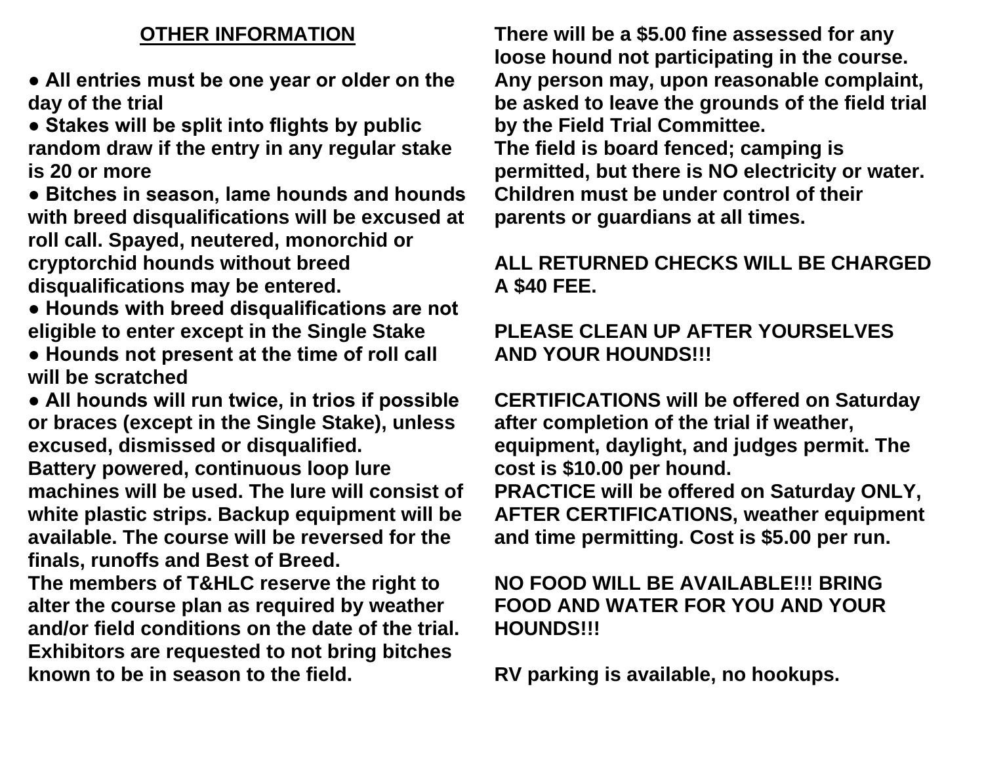# **OTHER INFORMATION**

**● All entries must be one year or older on the day of the trial** 

**● Stakes will be split into flights by public random draw if the entry in any regular stake is 20 or more** 

**● Bitches in season, lame hounds and hounds with breed disqualifications will be excused at roll call. Spayed, neutered, monorchid or cryptorchid hounds without breed disqualifications may be entered.** 

- **Hounds with breed disqualifications are not eligible to enter except in the Single Stake**
- **Hounds not present at the time of roll call will be scratched**

**● All hounds will run twice, in trios if possible or braces (except in the Single Stake), unless excused, dismissed or disqualified. Battery powered, continuous loop lure machines will be used. The lure will consist of white plastic strips. Backup equipment will be available. The course will be reversed for the** 

**finals, runoffs and Best of Breed.** 

**The members of T&HLC reserve the right to alter the course plan as required by weather and/or field conditions on the date of the trial. Exhibitors are requested to not bring bitches known to be in season to the field.** 

**There will be a \$5.00 fine assessed for any loose hound not participating in the course. Any person may, upon reasonable complaint, be asked to leave the grounds of the field trial by the Field Trial Committee. The field is board fenced; camping is permitted, but there is NO electricity or water. Children must be under control of their parents or guardians at all times.** 

# **ALL RETURNED CHECKS WILL BE CHARGED A \$40 FEE.**

# **PLEASE CLEAN UP AFTER YOURSELVES AND YOUR HOUNDS!!!**

**CERTIFICATIONS will be offered on Saturday after completion of the trial if weather, equipment, daylight, and judges permit. The cost is \$10.00 per hound. PRACTICE will be offered on Saturday ONLY, AFTER CERTIFICATIONS, weather equipment and time permitting. Cost is \$5.00 per run.**

# **NO FOOD WILL BE AVAILABLE!!! BRING FOOD AND WATER FOR YOU AND YOUR HOUNDS!!!**

**RV parking is available, no hookups.**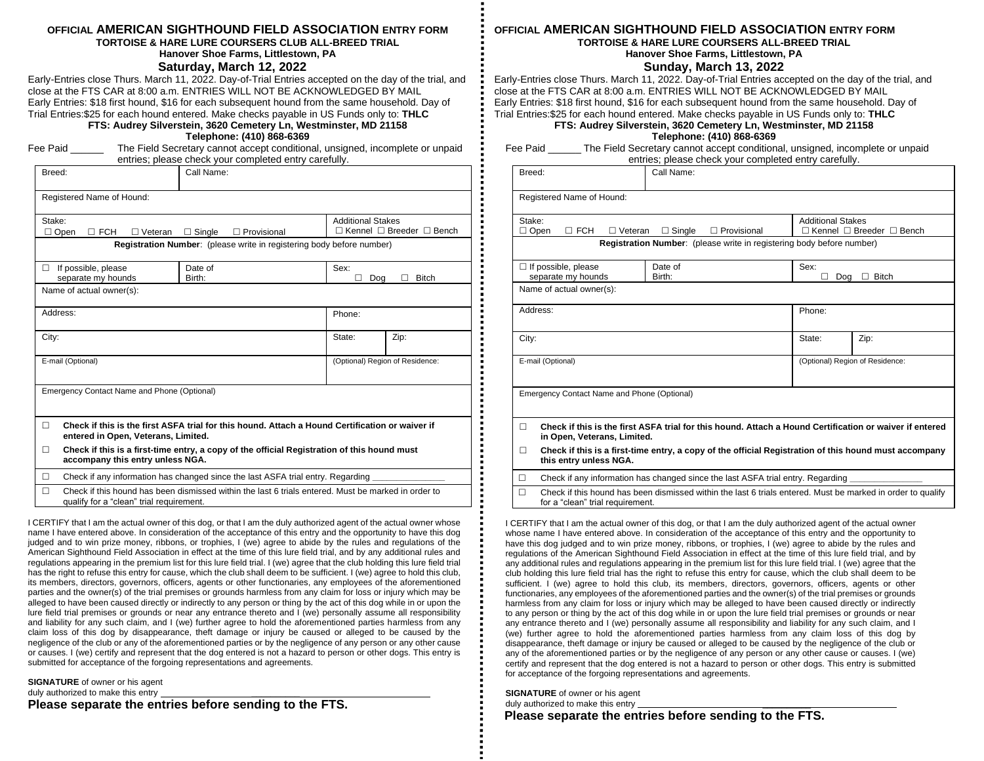#### **OFFICIAL AMERICAN SIGHTHOUND FIELD ASSOCIATION ENTRY FORM TORTOISE & HARE LURE COURSERS CLUB ALL-BREED TRIAL**

**Hanover Shoe Farms, Littlestown, PA**

**Saturday, March 12, 2022**

Early-Entries close Thurs. March 11, 2022. Day-of-Trial Entries accepted on the day of the trial, and close at the FTS CAR at 8:00 a.m. ENTRIES WILL NOT BE ACKNOWLEDGED BY MAIL Early Entries: \$18 first hound, \$16 for each subsequent hound from the same household. Day of Trial Entries:\$25 for each hound entered. Make checks payable in US Funds only to: **THLC**

**FTS: Audrey Silverstein, 3620 Cemetery Ln, Westminster, MD 21158**

**Telephone: (410) 868-6369**

|        | Fee Paid __                                                                                                                                                                                                                        |                                             | The Field Secretary cannot accept conditional, unsigned, incomplete or unpaid<br>entries; please check your completed entry carefully. |  |                          |                                           |  |
|--------|------------------------------------------------------------------------------------------------------------------------------------------------------------------------------------------------------------------------------------|---------------------------------------------|----------------------------------------------------------------------------------------------------------------------------------------|--|--------------------------|-------------------------------------------|--|
| Breed: |                                                                                                                                                                                                                                    |                                             | Call Name:                                                                                                                             |  |                          |                                           |  |
|        | Registered Name of Hound:                                                                                                                                                                                                          |                                             |                                                                                                                                        |  |                          |                                           |  |
| Stake: | $\Box$ FCH<br>$\Box$ Open                                                                                                                                                                                                          | $\Box$ Veteran                              | $\Box$ Single<br>$\Box$ Provisional                                                                                                    |  | <b>Additional Stakes</b> | $\Box$ Kennel $\Box$ Breeder $\Box$ Bench |  |
|        |                                                                                                                                                                                                                                    |                                             | Registration Number: (please write in registering body before number)                                                                  |  |                          |                                           |  |
| П      | If possible, please<br>separate my hounds                                                                                                                                                                                          |                                             | Date of<br>Birth:                                                                                                                      |  | Sex:<br>Dog              | <b>Bitch</b>                              |  |
|        | Name of actual owner(s):                                                                                                                                                                                                           |                                             |                                                                                                                                        |  |                          |                                           |  |
|        | Address:                                                                                                                                                                                                                           |                                             |                                                                                                                                        |  | Phone:                   |                                           |  |
| City:  |                                                                                                                                                                                                                                    |                                             |                                                                                                                                        |  | State:                   | Zip:                                      |  |
|        | E-mail (Optional)                                                                                                                                                                                                                  |                                             |                                                                                                                                        |  |                          | (Optional) Region of Residence:           |  |
|        |                                                                                                                                                                                                                                    | Emergency Contact Name and Phone (Optional) |                                                                                                                                        |  |                          |                                           |  |
| П      |                                                                                                                                                                                                                                    | entered in Open, Veterans, Limited.         | Check if this is the first ASFA trial for this hound. Attach a Hound Certification or waiver if                                        |  |                          |                                           |  |
| П      |                                                                                                                                                                                                                                    | accompany this entry unless NGA.            | Check if this is a first-time entry, a copy of the official Registration of this hound must                                            |  |                          |                                           |  |
| п      |                                                                                                                                                                                                                                    |                                             |                                                                                                                                        |  |                          |                                           |  |
| п      | Check if any information has changed since the last ASFA trial entry. Regarding<br>Check if this hound has been dismissed within the last 6 trials entered. Must be marked in order to<br>qualify for a "clean" trial requirement. |                                             |                                                                                                                                        |  |                          |                                           |  |

I CERTIFY that I am the actual owner of this dog, or that I am the duly authorized agent of the actual owner whose name I have entered above. In consideration of the acceptance of this entry and the opportunity to have this dog judged and to win prize money, ribbons, or trophies, I (we) agree to abide by the rules and regulations of the American Sighthound Field Association in effect at the time of this lure field trial, and by any additional rules and regulations appearing in the premium list for this lure field trial. I (we) agree that the club holding this lure field trial has the right to refuse this entry for cause, which the club shall deem to be sufficient. I (we) agree to hold this club, its members, directors, governors, officers, agents or other functionaries, any employees of the aforementioned parties and the owner(s) of the trial premises or grounds harmless from any claim for loss or injury which may be alleged to have been caused directly or indirectly to any person or thing by the act of this dog while in or upon the lure field trial premises or grounds or near any entrance thereto and I (we) personally assume all responsibility and liability for any such claim, and I (we) further agree to hold the aforementioned parties harmless from any claim loss of this dog by disappearance, theft damage or injury be caused or alleged to be caused by the negligence of the club or any of the aforementioned parties or by the negligence of any person or any other cause or causes. I (we) certify and represent that the dog entered is not a hazard to person or other dogs. This entry is submitted for acceptance of the forgoing representations and agreements.

**SIGNATURE** of owner or his agent duly authorized to make this entry **Please separate the entries before sending to the FTS.**

#### **OFFICIAL AMERICAN SIGHTHOUND FIELD ASSOCIATION ENTRY FORM TORTOISE & HARE LURE COURSERS ALL-BREED TRIAL Hanover Shoe Farms, Littlestown, PA**

### **Sunday, March 13, 2022**

Early-Entries close Thurs. March 11, 2022. Day-of-Trial Entries accepted on the day of the trial, and close at the FTS CAR at 8:00 a.m. ENTRIES WILL NOT BE ACKNOWLEDGED BY MAIL Early Entries: \$18 first hound, \$16 for each subsequent hound from the same household. Day of Trial Entries:\$25 for each hound entered. Make checks payable in US Funds only to: **THLC**

**FTS: Audrey Silverstein, 3620 Cemetery Ln, Westminster, MD 21158**

**Telephone: (410) 868-6369**

Fee Paid \_\_\_\_\_\_ The Field Secretary cannot accept conditional, unsigned, incomplete or unpaid entries; please check your completed entry carefully.

| Breed:                |                                                                                                                                        | Call Name:                                                                                            |                                 |              |  |  |  |  |
|-----------------------|----------------------------------------------------------------------------------------------------------------------------------------|-------------------------------------------------------------------------------------------------------|---------------------------------|--------------|--|--|--|--|
|                       | Registered Name of Hound:                                                                                                              |                                                                                                       |                                 |              |  |  |  |  |
| Stake:<br>$\Box$ Open | $\Box$ FCH<br>$\Box$ Veteran                                                                                                           | <b>Additional Stakes</b><br>$\Box$ Kennel $\Box$ Breeder $\Box$ Bench                                 |                                 |              |  |  |  |  |
|                       |                                                                                                                                        | <b>Registration Number:</b> (please write in registering body before number)                          |                                 |              |  |  |  |  |
|                       | $\Box$ If possible, please<br>separate my hounds                                                                                       | Date of<br>Birth:                                                                                     | Sex:<br>Doa                     | <b>Bitch</b> |  |  |  |  |
|                       | Name of actual owner(s):                                                                                                               |                                                                                                       |                                 |              |  |  |  |  |
| Address:              |                                                                                                                                        |                                                                                                       | Phone:                          |              |  |  |  |  |
| City:                 |                                                                                                                                        |                                                                                                       | State:                          | Zip:         |  |  |  |  |
|                       | E-mail (Optional)                                                                                                                      |                                                                                                       | (Optional) Region of Residence: |              |  |  |  |  |
|                       | Emergency Contact Name and Phone (Optional)                                                                                            |                                                                                                       |                                 |              |  |  |  |  |
| $\Box$                | Check if this is the first ASFA trial for this hound. Attach a Hound Certification or waiver if entered<br>in Open, Veterans, Limited. |                                                                                                       |                                 |              |  |  |  |  |
| $\Box$                | this entry unless NGA.                                                                                                                 | Check if this is a first-time entry, a copy of the official Registration of this hound must accompany |                                 |              |  |  |  |  |
| п                     | Check if any information has changed since the last ASFA trial entry. Regarding                                                        |                                                                                                       |                                 |              |  |  |  |  |
| $\Box$                | Chack if this hound has hean dismissed within the last 6 trials entered. Must he marked in order to qualify                            |                                                                                                       |                                 |              |  |  |  |  |

heck if this hound has been dismissed within the last 6 trials entered. Must be mar for a "clean" trial requirement.

I CERTIFY that I am the actual owner of this dog, or that I am the duly authorized agent of the actual owner whose name I have entered above. In consideration of the acceptance of this entry and the opportunity to have this dog judged and to win prize money, ribbons, or trophies, I (we) agree to abide by the rules and regulations of the American Sighthound Field Association in effect at the time of this lure field trial, and by any additional rules and regulations appearing in the premium list for this lure field trial. I (we) agree that the club holding this lure field trial has the right to refuse this entry for cause, which the club shall deem to be sufficient. I (we) agree to hold this club, its members, directors, governors, officers, agents or other functionaries, any employees of the aforementioned parties and the owner(s) of the trial premises or grounds harmless from any claim for loss or injury which may be alleged to have been caused directly or indirectly to any person or thing by the act of this dog while in or upon the lure field trial premises or grounds or near any entrance thereto and I (we) personally assume all responsibility and liability for any such claim, and I (we) further agree to hold the aforementioned parties harmless from any claim loss of this dog by disappearance, theft damage or injury be caused or alleged to be caused by the negligence of the club or any of the aforementioned parties or by the negligence of any person or any other cause or causes. I (we) certify and represent that the dog entered is not a hazard to person or other dogs. This entry is submitted for acceptance of the forgoing representations and agreements.

**SIGNATURE** of owner or his agent duly authorized to make this entry

 **Please separate the entries before sending to the FTS.**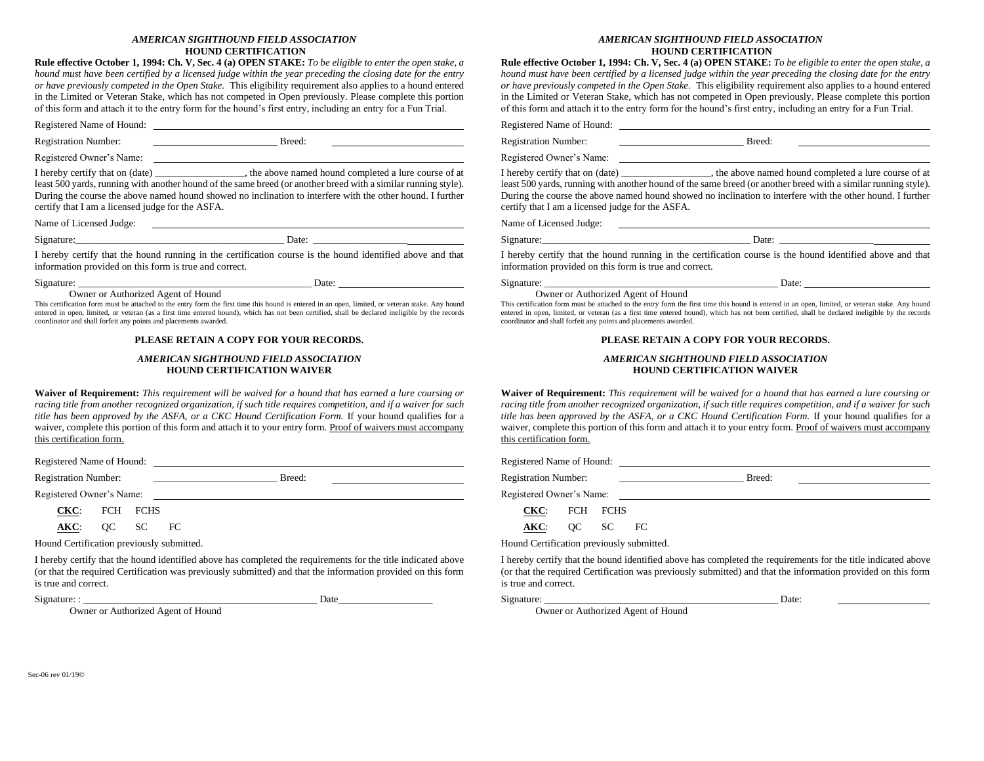#### *AMERICAN SIGHTHOUND FIELD ASSOCIATION* **HOUND CERTIFICATION**

**Rule effective October 1, 1994: Ch. V, Sec. 4 (a) OPEN STAKE:** *To be eligible to enter the open stake, a hound must have been certified by a licensed judge within the year preceding the closing date for the entry or have previously competed in the Open Stake.* This eligibility requirement also applies to a hound entered in the Limited or Veteran Stake, which has not competed in Open previously. Please complete this portion of this form and attach it to the entry form for the hound's first entry, including an entry for a Fun Trial.

Registered Name of Hound:

Registration Number: \_\_\_\_\_\_\_\_\_\_\_\_\_\_\_\_\_\_\_\_\_\_\_\_\_ Breed:

Registered Owner's Name:

I hereby certify that on (date) \_\_\_\_\_\_\_\_\_\_\_\_\_\_\_\_\_\_, the above named hound completed a lure course of at least 500 yards, running with another hound of the same breed (or another breed with a similar running style). During the course the above named hound showed no inclination to interfere with the other hound. I further certify that I am a licensed judge for the ASFA.

Name of Licensed Judge:

Signature:\_\_\_\_\_\_\_\_\_\_\_\_\_\_\_\_\_\_\_\_\_\_\_\_\_\_\_\_\_\_\_\_\_\_\_\_\_\_\_\_\_\_ Date: \_\_\_\_\_\_\_\_\_\_\_\_\_\_\_\_\_\_\_

I hereby certify that the hound running in the certification course is the hound identified above and that information provided on this form is true and correct.

Signature: \_\_\_\_\_\_\_\_\_\_\_\_\_\_\_\_\_\_\_\_\_\_\_\_\_\_\_\_\_\_\_\_\_\_\_\_\_\_\_\_\_\_\_\_\_\_\_ Date:

### Owner or Authorized Agent of Hound

This certification form must be attached to the entry form the first time this hound is entered in an open, limited, or veteran stake. Any hound entered in open, limited, or veteran (as a first time entered hound), which has not been certified, shall be declared ineligible by the records coordinator and shall forfeit any points and placements awarded.

#### **PLEASE RETAIN A COPY FOR YOUR RECORDS.**

#### *AMERICAN SIGHTHOUND FIELD ASSOCIATION* **HOUND CERTIFICATION WAIVER**

**Waiver of Requirement:** *This requirement will be waived for a hound that has earned a lure coursing or racing title from another recognized organization, if such title requires competition, and if a waiver for such title has been approved by the ASFA, or a CKC Hound Certification Form.* If your hound qualifies for a waiver, complete this portion of this form and attach it to your entry form. Proof of waivers must accompany this certification form.

Registered Name of Hound:

Registration Number: \_\_\_\_\_\_\_\_\_\_\_\_\_\_\_\_\_\_\_\_\_\_\_\_\_ Breed:

Registered Owner's Name:

**CKC**: FCH FCHS

**AKC**: QC SC FC

Hound Certification previously submitted.

I hereby certify that the hound identified above has completed the requirements for the title indicated above (or that the required Certification was previously submitted) and that the information provided on this form is true and correct.

Signature: : \_\_\_\_\_\_\_\_\_\_\_\_\_\_\_\_\_\_\_\_\_\_\_\_\_\_\_\_\_\_\_\_\_\_\_\_\_\_\_\_\_\_\_\_\_\_\_ Date\_\_\_\_\_\_\_\_\_\_\_\_\_\_\_\_\_\_\_

Owner or Authorized Agent of Hound

#### *AMERICAN SIGHTHOUND FIELD ASSOCIATION* **HOUND CERTIFICATION**

**Rule effective October 1, 1994: Ch. V, Sec. 4 (a) OPEN STAKE:** *To be eligible to enter the open stake, a hound must have been certified by a licensed judge within the year preceding the closing date for the entry or have previously competed in the Open Stake.* This eligibility requirement also applies to a hound entered in the Limited or Veteran Stake, which has not competed in Open previously. Please complete this portion of this form and attach it to the entry form for the hound's first entry, including an entry for a Fun Trial.

Registered Name of Hound:

Registration Number: \_\_\_\_\_\_\_\_\_\_\_\_\_\_\_\_\_\_\_\_\_\_\_\_\_ Breed:

Registered Owner's Name:

I hereby certify that on (date) \_\_\_\_\_\_\_\_\_\_\_\_\_\_\_\_\_\_, the above named hound completed a lure course of at least 500 yards, running with another hound of the same breed (or another breed with a similar running style). During the course the above named hound showed no inclination to interfere with the other hound. I further certify that I am a licensed judge for the ASFA.

Name of Licensed Judge:

Signature:  $\Box$ 

I hereby certify that the hound running in the certification course is the hound identified above and that information provided on this form is true and correct.

Signature: \_\_\_\_\_\_\_\_\_\_\_\_\_\_\_\_\_\_\_\_\_\_\_\_\_\_\_\_\_\_\_\_\_\_\_\_\_\_\_\_\_\_\_\_\_\_\_ Date: Owner or Authorized Agent of Hound

This certification form must be attached to the entry form the first time this hound is entered in an open, limited, or veteran stake. Any hound entered in open, limited, or veteran (as a first time entered hound), which has not been certified, shall be declared ineligible by the records coordinator and shall forfeit any points and placements awarded.

#### **PLEASE RETAIN A COPY FOR YOUR RECORDS.**

#### *AMERICAN SIGHTHOUND FIELD ASSOCIATION* **HOUND CERTIFICATION WAIVER**

**Waiver of Requirement:** *This requirement will be waived for a hound that has earned a lure coursing or racing title from another recognized organization, if such title requires competition, and if a waiver for such title has been approved by the ASFA, or a CKC Hound Certification Form.* If your hound qualifies for a waiver, complete this portion of this form and attach it to your entry form. Proof of waivers must accompany this certification form.

Registered Name of Hound:

Registration Number: \_\_\_\_\_\_\_\_\_\_\_\_\_\_\_\_\_\_\_\_\_\_\_\_\_ Breed:

Registered Owner's Name:

**CKC**: FCH FCHS

**AKC**: QC SC FC

Hound Certification previously submitted.

I hereby certify that the hound identified above has completed the requirements for the title indicated above (or that the required Certification was previously submitted) and that the information provided on this form is true and correct.

#### Signature: <u>Date:</u>

Owner or Authorized Agent of Hound

Sec-06 rev 01/19©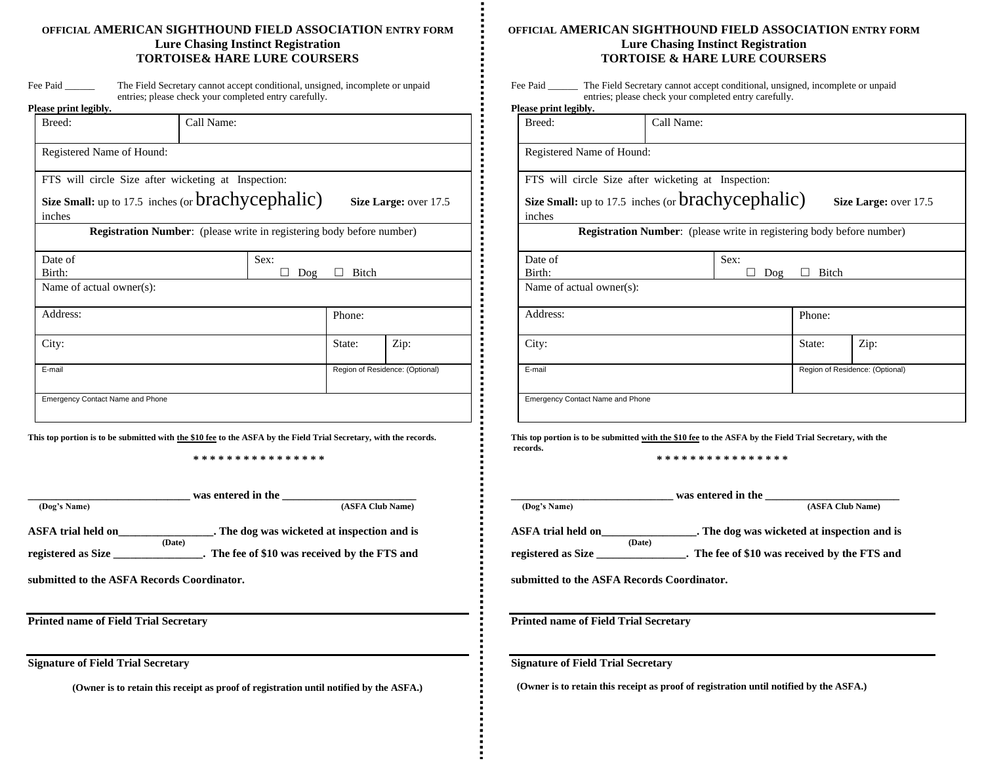### **OFFICIAL AMERICAN SIGHTHOUND FIELD ASSOCIATION ENTRY FORM Lure Chasing Instinct Registration TORTOISE& HARE LURE COURSERS**

| Fee Paid     | The Field Secretary cannot accept conditional, unsigned, incomplete or unpaid |
|--------------|-------------------------------------------------------------------------------|
|              | entries; please check your completed entry carefully.                         |
| nu • 11 • 11 |                                                                               |

| Please print legibly.                               |                                                                              |      |        |                                 |
|-----------------------------------------------------|------------------------------------------------------------------------------|------|--------|---------------------------------|
| Breed:                                              | Call Name:                                                                   |      |        |                                 |
| Registered Name of Hound:                           |                                                                              |      |        |                                 |
| FTS will circle Size after wicketing at Inspection: |                                                                              |      |        |                                 |
| Size Small: up to 17.5 inches (or brachycephalic)   |                                                                              |      |        | Size Large: over 17.5           |
| inches                                              |                                                                              |      |        |                                 |
|                                                     | <b>Registration Number:</b> (please write in registering body before number) |      |        |                                 |
| Date of                                             |                                                                              | Sex: |        |                                 |
| Birth:                                              |                                                                              | Dog  | Bitch  |                                 |
| Name of actual owner(s):                            |                                                                              |      |        |                                 |
| Address:                                            |                                                                              |      | Phone: |                                 |
| City:                                               |                                                                              |      | State: | Zip:                            |
| E-mail                                              |                                                                              |      |        | Region of Residence: (Optional) |
| <b>Emergency Contact Name and Phone</b>             |                                                                              |      |        |                                 |

**This top portion is to be submitted with the \$10 fee to the ASFA by the Field Trial Secretary, with the records.**

**\* \* \* \* \* \* \* \* \* \* \* \* \* \* \* \***

|                           |        | was entered in the                            |
|---------------------------|--------|-----------------------------------------------|
| (Dog's Name)              |        | (ASFA Club Name)                              |
| <b>ASFA</b> trial held on |        | . The dog was wicketed at inspection and is   |
|                           | (Date) |                                               |
| registered as Size        |        | . The fee of \$10 was received by the FTS and |

**submitted to the ASFA Records Coordinator.** 

**Printed name of Field Trial Secretary**

**Signature of Field Trial Secretary**

**(Owner is to retain this receipt as proof of registration until notified by the ASFA.)**

### **OFFICIAL AMERICAN SIGHTHOUND FIELD ASSOCIATION ENTRY FORM Lure Chasing Instinct Registration TORTOISE & HARE LURE COURSERS**

| Fee Paid | The Field Secretary cannot accept conditional, unsigned, incomplete or unpaid |
|----------|-------------------------------------------------------------------------------|
|          | entries; please check your completed entry carefully.                         |

| Please print legibly.                               |            |      |                                                                              |                                 |
|-----------------------------------------------------|------------|------|------------------------------------------------------------------------------|---------------------------------|
| Breed:                                              | Call Name: |      |                                                                              |                                 |
| Registered Name of Hound:                           |            |      |                                                                              |                                 |
| FTS will circle Size after wicketing at Inspection: |            |      |                                                                              |                                 |
| Size Small: up to 17.5 inches (or brachycephalic)   |            |      |                                                                              | Size Large: over 17.5           |
| inches                                              |            |      |                                                                              |                                 |
|                                                     |            |      | <b>Registration Number:</b> (please write in registering body before number) |                                 |
| Date of                                             |            | Sex: |                                                                              |                                 |
| Birth:                                              |            | Dog  | Bitch                                                                        |                                 |
| Name of actual owner(s):                            |            |      |                                                                              |                                 |
| Address:                                            |            |      | Phone:                                                                       |                                 |
| City:                                               |            |      | State:                                                                       | Zip:                            |
| E-mail                                              |            |      |                                                                              | Region of Residence: (Optional) |
| <b>Emergency Contact Name and Phone</b>             |            |      |                                                                              |                                 |

**This top portion is to be submitted with the \$10 fee to the ASFA by the Field Trial Secretary, with the records.**

**\* \* \* \* \* \* \* \* \* \* \* \* \* \* \* \***

|                              | was entered in the                            |
|------------------------------|-----------------------------------------------|
| (Dog's Name)                 | (ASFA Club Name)                              |
| ASFA trial held on           | . The dog was wicketed at inspection and is   |
| (Date)<br>registered as Size | . The fee of \$10 was received by the FTS and |
|                              |                                               |

**submitted to the ASFA Records Coordinator.** 

**Printed name of Field Trial Secretary**

**Signature of Field Trial Secretary**

 **(Owner is to retain this receipt as proof of registration until notified by the ASFA.)**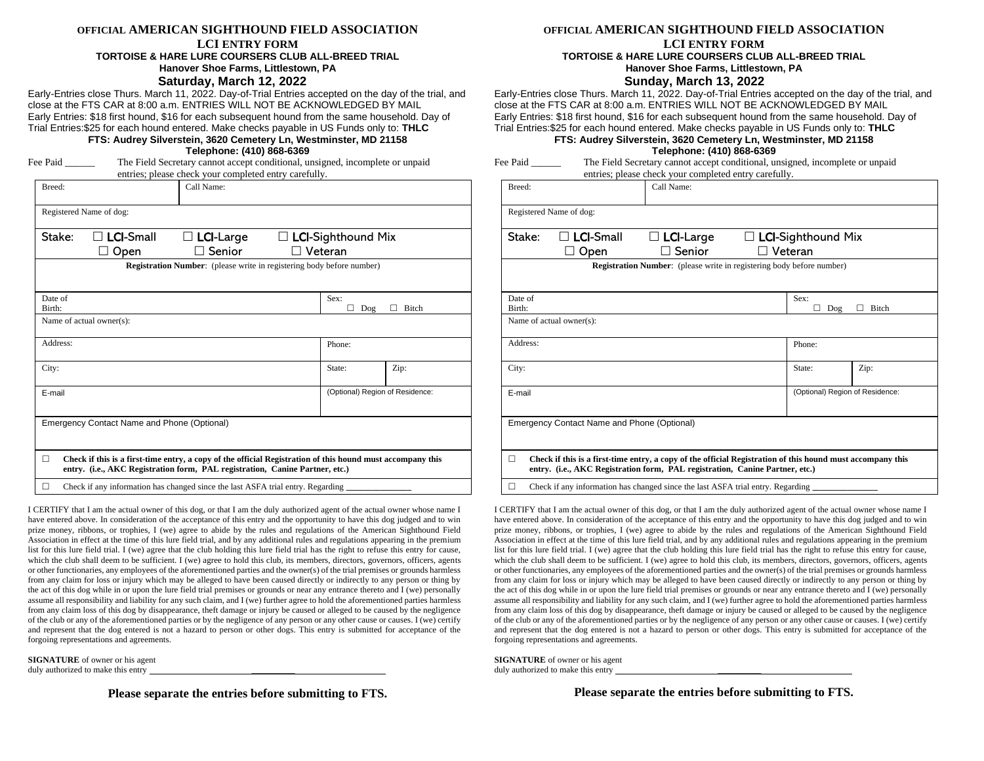#### **OFFICIAL AMERICAN SIGHTHOUND FIELD ASSOCIATION**

#### **LCI ENTRY FORM TORTOISE & HARE LURE COURSERS CLUB ALL-BREED TRIAL Hanover Shoe Farms, Littlestown, PA**

#### **Saturday, March 12, 2022**

Early-Entries close Thurs. March 11, 2022. Day-of-Trial Entries accepted on the day of the trial, and close at the FTS CAR at 8:00 a.m. ENTRIES WILL NOT BE ACKNOWLEDGED BY MAIL Early Entries: \$18 first hound, \$16 for each subsequent hound from the same household. Day of Trial Entries:\$25 for each hound entered. Make checks payable in US Funds only to: **THLC**

#### **FTS: Audrey Silverstein, 3620 Cemetery Ln, Westminster, MD 21158 Telephone: (410) 868-6369**

| Fee | Paid |  |
|-----|------|--|
|     |      |  |
|     |      |  |
|     |      |  |
|     |      |  |

The Field Secretary cannot accept conditional, unsigned, incomplete or unpaid

|          |                                             | entries; please check your completed entry carefully.                                                                                                                                      |                           |        |                                 |
|----------|---------------------------------------------|--------------------------------------------------------------------------------------------------------------------------------------------------------------------------------------------|---------------------------|--------|---------------------------------|
| Breed:   |                                             | Call Name:                                                                                                                                                                                 |                           |        |                                 |
|          | Registered Name of dog:                     |                                                                                                                                                                                            |                           |        |                                 |
| Stake:   | $\Box$ LCI-Small                            | $\Box$ LCI-Large                                                                                                                                                                           | $\Box$ LCI-Sighthound Mix |        |                                 |
|          | Open                                        | Senior                                                                                                                                                                                     | Veteran                   |        |                                 |
|          |                                             | <b>Registration Number:</b> (please write in registering body before number)                                                                                                               |                           |        |                                 |
|          |                                             |                                                                                                                                                                                            |                           |        |                                 |
| Date of  |                                             |                                                                                                                                                                                            |                           | Sex:   |                                 |
| Birth:   |                                             |                                                                                                                                                                                            |                           | Dog    | Bitch                           |
|          | Name of actual owner(s):                    |                                                                                                                                                                                            |                           |        |                                 |
| Address: |                                             |                                                                                                                                                                                            |                           | Phone: |                                 |
| City:    |                                             |                                                                                                                                                                                            |                           | State: | Zip:                            |
| E-mail   |                                             |                                                                                                                                                                                            |                           |        | (Optional) Region of Residence: |
|          |                                             |                                                                                                                                                                                            |                           |        |                                 |
|          | Emergency Contact Name and Phone (Optional) |                                                                                                                                                                                            |                           |        |                                 |
|          |                                             |                                                                                                                                                                                            |                           |        |                                 |
| П        |                                             | Check if this is a first-time entry, a copy of the official Registration of this hound must accompany this<br>entry. (i.e., AKC Registration form, PAL registration, Canine Partner, etc.) |                           |        |                                 |
| П        |                                             | Check if any information has changed since the last ASFA trial entry. Regarding                                                                                                            |                           |        |                                 |

I CERTIFY that I am the actual owner of this dog, or that I am the duly authorized agent of the actual owner whose name I have entered above. In consideration of the acceptance of this entry and the opportunity to have this dog judged and to win prize money, ribbons, or trophies, I (we) agree to abide by the rules and regulations of the American Sighthound Field Association in effect at the time of this lure field trial, and by any additional rules and regulations appearing in the premium list for this lure field trial. I (we) agree that the club holding this lure field trial has the right to refuse this entry for cause, which the club shall deem to be sufficient. I (we) agree to hold this club, its members, directors, governors, officers, agents or other functionaries, any employees of the aforementioned parties and the owner(s) of the trial premises or grounds harmless from any claim for loss or injury which may be alleged to have been caused directly or indirectly to any person or thing by the act of this dog while in or upon the lure field trial premises or grounds or near any entrance thereto and I (we) personally assume all responsibility and liability for any such claim, and I (we) further agree to hold the aforementioned parties harmless from any claim loss of this dog by disappearance, theft damage or injury be caused or alleged to be caused by the negligence of the club or any of the aforementioned parties or by the negligence of any person or any other cause or causes. I (we) certify and represent that the dog entered is not a hazard to person or other dogs. This entry is submitted for acceptance of the forgoing representations and agreements.

**SIGNATURE** of owner or his agent duly authorized to make this entry

**Please separate the entries before submitting to FTS.**

#### **OFFICIAL AMERICAN SIGHTHOUND FIELD ASSOCIATION**

# **LCI ENTRY FORM**

#### **TORTOISE & HARE LURE COURSERS CLUB ALL-BREED TRIAL Hanover Shoe Farms, Littlestown, PA**

#### **Sunday, March 13, 2022**

Early-Entries close Thurs. March 11, 2022. Day-of-Trial Entries accepted on the day of the trial, and close at the FTS CAR at 8:00 a.m. ENTRIES WILL NOT BE ACKNOWLEDGED BY MAIL Early Entries: \$18 first hound, \$16 for each subsequent hound from the same household. Day of Trial Entries:\$25 for each hound entered. Make checks payable in US Funds only to: **THLC**

#### **FTS: Audrey Silverstein, 3620 Cemetery Ln, Westminster, MD 21158 Telephone: (410) 868-6369**

| Fee Paid | The Field Secretary cannot accept conditional, unsigned, incomplete or unpaid |
|----------|-------------------------------------------------------------------------------|
|          | entries; please check your completed entry carefully.                         |

| Breed:            |                                             | Call Name:                                                                                                                                                                                 |                |                           |                                 |
|-------------------|---------------------------------------------|--------------------------------------------------------------------------------------------------------------------------------------------------------------------------------------------|----------------|---------------------------|---------------------------------|
|                   | Registered Name of dog:                     |                                                                                                                                                                                            |                |                           |                                 |
| Stake:            | <b>LCI-Small</b><br>Open                    | $\Box$ LCI-Large<br>Senior                                                                                                                                                                 | $\Box$ Veteran | $\Box$ LCI-Sighthound Mix |                                 |
|                   |                                             | <b>Registration Number:</b> (please write in registering body before number)                                                                                                               |                |                           |                                 |
| Date of<br>Birth: |                                             |                                                                                                                                                                                            |                | Sex:<br>◘<br>Dog          | Bitch                           |
|                   | Name of actual owner(s):                    |                                                                                                                                                                                            |                |                           |                                 |
| Address:          |                                             |                                                                                                                                                                                            |                | Phone:                    |                                 |
| City:             |                                             |                                                                                                                                                                                            |                | State:                    | Zip:                            |
| E-mail            |                                             |                                                                                                                                                                                            |                |                           | (Optional) Region of Residence: |
|                   | Emergency Contact Name and Phone (Optional) |                                                                                                                                                                                            |                |                           |                                 |
| П                 |                                             | Check if this is a first-time entry, a copy of the official Registration of this hound must accompany this<br>entry. (i.e., AKC Registration form, PAL registration, Canine Partner, etc.) |                |                           |                                 |
| П                 |                                             | Check if any information has changed since the last ASFA trial entry. Regarding                                                                                                            |                |                           |                                 |

I CERTIFY that I am the actual owner of this dog, or that I am the duly authorized agent of the actual owner whose name I have entered above. In consideration of the acceptance of this entry and the opportunity to have this dog judged and to win prize money, ribbons, or trophies, I (we) agree to abide by the rules and regulations of the American Sighthound Field Association in effect at the time of this lure field trial, and by any additional rules and regulations appearing in the premium list for this lure field trial. I (we) agree that the club holding this lure field trial has the right to refuse this entry for cause, which the club shall deem to be sufficient. I (we) agree to hold this club, its members, directors, governors, officers, agents or other functionaries, any employees of the aforementioned parties and the owner(s) of the trial premises or grounds harmless from any claim for loss or injury which may be alleged to have been caused directly or indirectly to any person or thing by the act of this dog while in or upon the lure field trial premises or grounds or near any entrance thereto and I (we) personally assume all responsibility and liability for any such claim, and I (we) further agree to hold the aforementioned parties harmless from any claim loss of this dog by disappearance, theft damage or injury be caused or alleged to be caused by the negligence of the club or any of the aforementioned parties or by the negligence of any person or any other cause or causes. I (we) certify and represent that the dog entered is not a hazard to person or other dogs. This entry is submitted for acceptance of the forgoing representations and agreements.

**SIGNATURE** of owner or his agent duly authorized to make this entry

**Please separate the entries before submitting to FTS.**